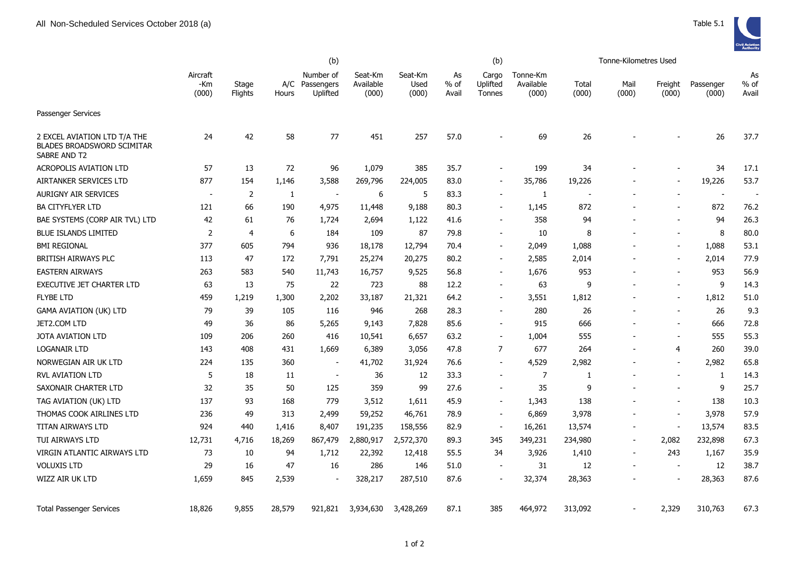

|                                                                                   | (b)                      |                  |              |                                     |                               |                          |                       | (b)                                |                                |                | Tonne-Kilometres Used    |                          |                    |                          |
|-----------------------------------------------------------------------------------|--------------------------|------------------|--------------|-------------------------------------|-------------------------------|--------------------------|-----------------------|------------------------------------|--------------------------------|----------------|--------------------------|--------------------------|--------------------|--------------------------|
|                                                                                   | Aircraft<br>-Km<br>(000) | Stage<br>Flights | A/C<br>Hours | Number of<br>Passengers<br>Uplifted | Seat-Km<br>Available<br>(000) | Seat-Km<br>Used<br>(000) | As<br>$%$ of<br>Avail | Cargo<br>Uplifted<br><b>Tonnes</b> | Tonne-Km<br>Available<br>(000) | Total<br>(000) | Mail<br>(000)            | Freight<br>(000)         | Passenger<br>(000) | As<br>$%$ of<br>Avail    |
| Passenger Services                                                                |                          |                  |              |                                     |                               |                          |                       |                                    |                                |                |                          |                          |                    |                          |
| 2 EXCEL AVIATION LTD T/A THE<br><b>BLADES BROADSWORD SCIMITAR</b><br>SABRE AND T2 | 24                       | 42               | 58           | 77                                  | 451                           | 257                      | 57.0                  |                                    | 69                             | 26             |                          |                          | 26                 | 37.7                     |
| <b>ACROPOLIS AVIATION LTD</b>                                                     | 57                       | 13               | 72           | 96                                  | 1,079                         | 385                      | 35.7                  |                                    | 199                            | 34             |                          |                          | 34                 | 17.1                     |
| AIRTANKER SERVICES LTD                                                            | 877                      | 154              | 1,146        | 3,588                               | 269,796                       | 224,005                  | 83.0                  |                                    | 35,786                         | 19,226         |                          |                          | 19,226             | 53.7                     |
| <b>AURIGNY AIR SERVICES</b>                                                       | $\overline{a}$           | $\overline{2}$   | $\mathbf{1}$ | $\overline{\phantom{a}}$            | 6                             | 5                        | 83.3                  | $\overline{\phantom{a}}$           | 1                              | $\blacksquare$ |                          |                          | $\sim$             | $\overline{\phantom{a}}$ |
| <b>BA CITYFLYER LTD</b>                                                           | 121                      | 66               | 190          | 4,975                               | 11,448                        | 9,188                    | 80.3                  |                                    | 1,145                          | 872            |                          |                          | 872                | 76.2                     |
| BAE SYSTEMS (CORP AIR TVL) LTD                                                    | 42                       | 61               | 76           | 1,724                               | 2,694                         | 1,122                    | 41.6                  | $\blacksquare$                     | 358                            | 94             |                          | $\overline{\phantom{a}}$ | 94                 | 26.3                     |
| <b>BLUE ISLANDS LIMITED</b>                                                       | $\overline{2}$           | 4                | 6            | 184                                 | 109                           | 87                       | 79.8                  |                                    | 10                             | 8              |                          | $\blacksquare$           | 8                  | 80.0                     |
| <b>BMI REGIONAL</b>                                                               | 377                      | 605              | 794          | 936                                 | 18,178                        | 12,794                   | 70.4                  | $\sim$                             | 2,049                          | 1,088          |                          |                          | 1,088              | 53.1                     |
| BRITISH AIRWAYS PLC                                                               | 113                      | 47               | 172          | 7,791                               | 25,274                        | 20,275                   | 80.2                  | $\sim$                             | 2,585                          | 2,014          |                          | $\overline{\phantom{a}}$ | 2,014              | 77.9                     |
| <b>EASTERN AIRWAYS</b>                                                            | 263                      | 583              | 540          | 11,743                              | 16,757                        | 9,525                    | 56.8                  |                                    | 1,676                          | 953            |                          |                          | 953                | 56.9                     |
| <b>EXECUTIVE JET CHARTER LTD</b>                                                  | 63                       | 13               | 75           | 22                                  | 723                           | 88                       | 12.2                  | $\overline{\phantom{a}}$           | 63                             | 9              |                          | $\overline{\phantom{a}}$ | 9                  | 14.3                     |
| <b>FLYBE LTD</b>                                                                  | 459                      | 1,219            | 1,300        | 2,202                               | 33,187                        | 21,321                   | 64.2                  | $\overline{\phantom{0}}$           | 3,551                          | 1,812          |                          |                          | 1,812              | 51.0                     |
| <b>GAMA AVIATION (UK) LTD</b>                                                     | 79                       | 39               | 105          | 116                                 | 946                           | 268                      | 28.3                  | $\sim$                             | 280                            | 26             |                          | $\overline{\phantom{a}}$ | 26                 | 9.3                      |
| JET2.COM LTD                                                                      | 49                       | 36               | 86           | 5,265                               | 9,143                         | 7,828                    | 85.6                  | $\sim$                             | 915                            | 666            |                          | $\sim$                   | 666                | 72.8                     |
| JOTA AVIATION LTD                                                                 | 109                      | 206              | 260          | 416                                 | 10,541                        | 6,657                    | 63.2                  | $\overline{\phantom{a}}$           | 1,004                          | 555            |                          | $\overline{\phantom{a}}$ | 555                | 55.3                     |
| <b>LOGANAIR LTD</b>                                                               | 143                      | 408              | 431          | 1,669                               | 6,389                         | 3,056                    | 47.8                  | $\overline{7}$                     | 677                            | 264            | $\overline{\phantom{a}}$ | 4                        | 260                | 39.0                     |
| NORWEGIAN AIR UK LTD                                                              | 224                      | 135              | 360          | $\blacksquare$                      | 41,702                        | 31,924                   | 76.6                  | $\blacksquare$                     | 4,529                          | 2,982          | $\blacksquare$           | $\overline{\phantom{a}}$ | 2,982              | 65.8                     |
| <b>RVL AVIATION LTD</b>                                                           | 5                        | 18               | 11           | $\blacksquare$                      | 36                            | 12                       | 33.3                  |                                    | $\overline{7}$                 | 1              | $\blacksquare$           | $\blacksquare$           | $\mathbf{1}$       | 14.3                     |
| SAXONAIR CHARTER LTD                                                              | 32                       | 35               | 50           | 125                                 | 359                           | 99                       | 27.6                  |                                    | 35                             | q              |                          | $\overline{\phantom{a}}$ | 9                  | 25.7                     |
| TAG AVIATION (UK) LTD                                                             | 137                      | 93               | 168          | 779                                 | 3,512                         | 1,611                    | 45.9                  | $\sim$                             | 1,343                          | 138            |                          | $\sim$                   | 138                | 10.3                     |
| THOMAS COOK AIRLINES LTD                                                          | 236                      | 49               | 313          | 2,499                               | 59,252                        | 46,761                   | 78.9                  |                                    | 6,869                          | 3,978          |                          | $\overline{\phantom{a}}$ | 3,978              | 57.9                     |
| <b>TITAN AIRWAYS LTD</b>                                                          | 924                      | 440              | 1,416        | 8,407                               | 191,235                       | 158,556                  | 82.9                  |                                    | 16,261                         | 13,574         | $\overline{a}$           | $\overline{\phantom{a}}$ | 13,574             | 83.5                     |
| TUI AIRWAYS LTD                                                                   | 12,731                   | 4,716            | 18,269       | 867,479                             | 2,880,917                     | 2,572,370                | 89.3                  | 345                                | 349,231                        | 234,980        | $\overline{\phantom{m}}$ | 2,082                    | 232,898            | 67.3                     |
| VIRGIN ATLANTIC AIRWAYS LTD                                                       | 73                       | 10               | 94           | 1,712                               | 22,392                        | 12,418                   | 55.5                  | 34                                 | 3,926                          | 1,410          | $\blacksquare$           | 243                      | 1,167              | 35.9                     |
| <b>VOLUXIS LTD</b>                                                                | 29                       | 16               | 47           | 16                                  | 286                           | 146                      | 51.0                  | $\overline{a}$                     | 31                             | 12             |                          | $\overline{\phantom{a}}$ | 12                 | 38.7                     |
| WIZZ AIR UK LTD                                                                   | 1,659                    | 845              | 2,539        | $\sim$                              | 328,217                       | 287,510                  | 87.6                  |                                    | 32,374                         | 28,363         |                          |                          | 28,363             | 87.6                     |
| <b>Total Passenger Services</b>                                                   | 18,826                   | 9,855            | 28,579       | 921,821                             | 3,934,630                     | 3,428,269                | 87.1                  | 385                                | 464,972                        | 313,092        |                          | 2,329                    | 310,763            | 67.3                     |